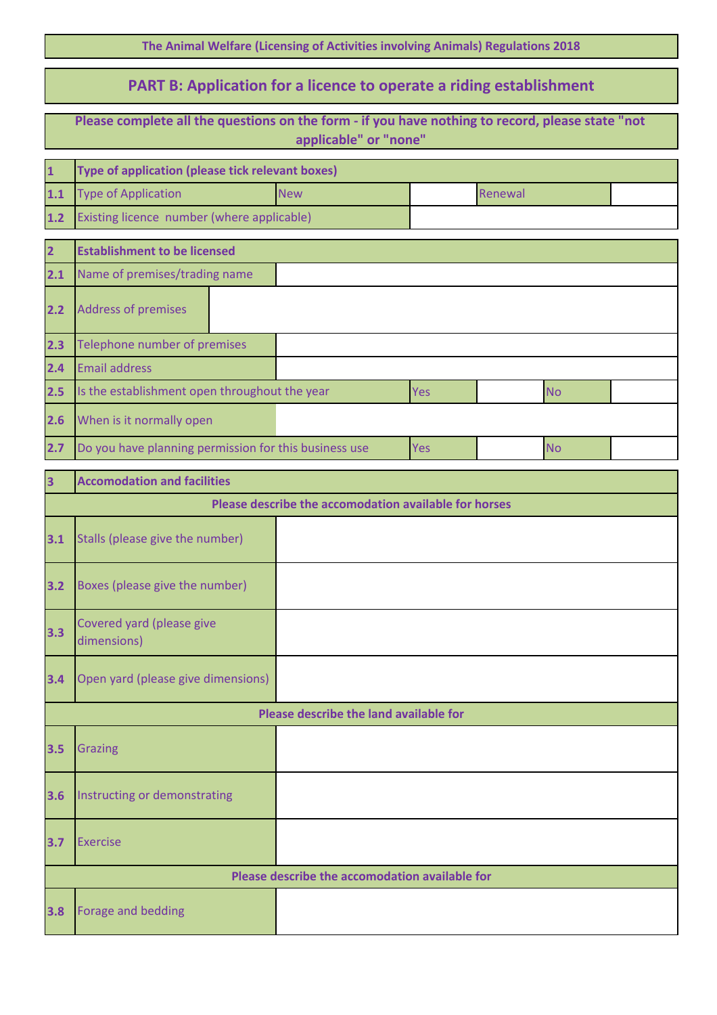|  |  | The Animal Welfare (Licensing of Activities involving Animals) Regulations 2018 |  |
|--|--|---------------------------------------------------------------------------------|--|
|--|--|---------------------------------------------------------------------------------|--|

## **PART B: Application for a licence to operate a riding establishment**

|                         | Please complete all the questions on the form - if you have nothing to record, please state "not<br>applicable" or "none" |                                                |     |         |           |  |  |
|-------------------------|---------------------------------------------------------------------------------------------------------------------------|------------------------------------------------|-----|---------|-----------|--|--|
| $\mathbf{1}$            | Type of application (please tick relevant boxes)                                                                          |                                                |     |         |           |  |  |
| 1.1                     | <b>Type of Application</b>                                                                                                | <b>New</b>                                     |     | Renewal |           |  |  |
| $1.2$                   | Existing licence number (where applicable)                                                                                |                                                |     |         |           |  |  |
| $\overline{2}$          | <b>Establishment to be licensed</b>                                                                                       |                                                |     |         |           |  |  |
| 2.1                     | Name of premises/trading name                                                                                             |                                                |     |         |           |  |  |
| 2.2                     | <b>Address of premises</b>                                                                                                |                                                |     |         |           |  |  |
| 2.3                     | Telephone number of premises                                                                                              |                                                |     |         |           |  |  |
| 2.4                     | <b>Email address</b>                                                                                                      |                                                |     |         |           |  |  |
| 2.5                     | Is the establishment open throughout the year                                                                             |                                                | Yes |         | <b>No</b> |  |  |
| 2.6                     | When is it normally open                                                                                                  |                                                |     |         |           |  |  |
| 2.7                     | Do you have planning permission for this business use                                                                     |                                                | Yes |         | <b>No</b> |  |  |
| $\overline{\mathbf{3}}$ | <b>Accomodation and facilities</b>                                                                                        |                                                |     |         |           |  |  |
|                         | Please describe the accomodation available for horses                                                                     |                                                |     |         |           |  |  |
| 3.1                     | Stalls (please give the number)                                                                                           |                                                |     |         |           |  |  |
| 3.2                     | Boxes (please give the number)                                                                                            |                                                |     |         |           |  |  |
| 3.3                     | Covered yard (please give<br>dimensions)                                                                                  |                                                |     |         |           |  |  |
| 3.4                     | Open yard (please give dimensions)                                                                                        |                                                |     |         |           |  |  |
|                         |                                                                                                                           | Please describe the land available for         |     |         |           |  |  |
| 3.5                     | <b>Grazing</b>                                                                                                            |                                                |     |         |           |  |  |
| 3.6                     | Instructing or demonstrating                                                                                              |                                                |     |         |           |  |  |
| 3.7                     | <b>Exercise</b>                                                                                                           |                                                |     |         |           |  |  |
|                         |                                                                                                                           | Please describe the accomodation available for |     |         |           |  |  |
| 3.8                     | Forage and bedding                                                                                                        |                                                |     |         |           |  |  |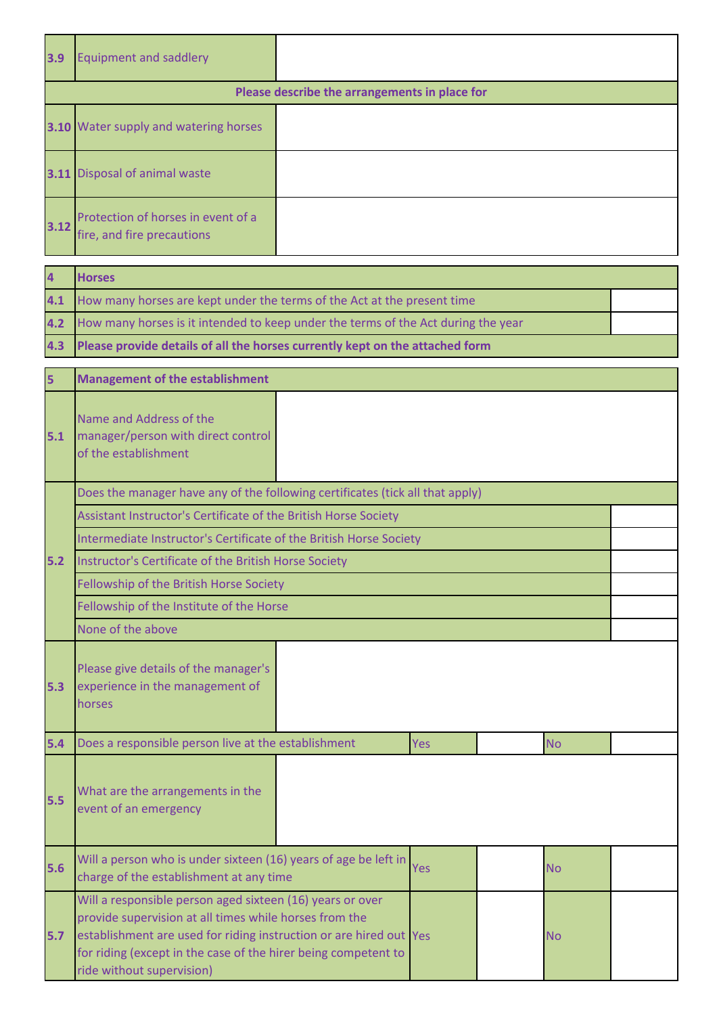| 3.9  | <b>Equipment and saddlery</b>                                    |                                               |
|------|------------------------------------------------------------------|-----------------------------------------------|
|      |                                                                  | Please describe the arrangements in place for |
|      | 3.10 Water supply and watering horses                            |                                               |
| 3.11 | Disposal of animal waste                                         |                                               |
| 3.12 | Protection of horses in event of a<br>fire, and fire precautions |                                               |

| $\overline{4}$ | <b>Horses</b>                                                                         |  |
|----------------|---------------------------------------------------------------------------------------|--|
|                | 4.1 How many horses are kept under the terms of the Act at the present time           |  |
|                | 4.2 How many horses is it intended to keep under the terms of the Act during the year |  |
|                | 4.3 Please provide details of all the horses currently kept on the attached form      |  |

| 5   | <b>Management of the establishment</b>                                                                                                                                                                                                                                                   |  |     |  |           |  |  |
|-----|------------------------------------------------------------------------------------------------------------------------------------------------------------------------------------------------------------------------------------------------------------------------------------------|--|-----|--|-----------|--|--|
| 5.1 | Name and Address of the<br>manager/person with direct control<br>of the establishment                                                                                                                                                                                                    |  |     |  |           |  |  |
|     | Does the manager have any of the following certificates (tick all that apply)                                                                                                                                                                                                            |  |     |  |           |  |  |
|     | Assistant Instructor's Certificate of the British Horse Society                                                                                                                                                                                                                          |  |     |  |           |  |  |
|     | Intermediate Instructor's Certificate of the British Horse Society                                                                                                                                                                                                                       |  |     |  |           |  |  |
| 5.2 | Instructor's Certificate of the British Horse Society                                                                                                                                                                                                                                    |  |     |  |           |  |  |
|     | Fellowship of the British Horse Society                                                                                                                                                                                                                                                  |  |     |  |           |  |  |
|     | Fellowship of the Institute of the Horse                                                                                                                                                                                                                                                 |  |     |  |           |  |  |
|     | None of the above                                                                                                                                                                                                                                                                        |  |     |  |           |  |  |
| 5.3 | Please give details of the manager's<br>experience in the management of<br>horses                                                                                                                                                                                                        |  |     |  |           |  |  |
| 5.4 | Does a responsible person live at the establishment                                                                                                                                                                                                                                      |  | Yes |  | <b>No</b> |  |  |
| 5.5 | What are the arrangements in the<br>event of an emergency                                                                                                                                                                                                                                |  |     |  |           |  |  |
| 5.6 | Will a person who is under sixteen (16) years of age be left in<br>charge of the establishment at any time                                                                                                                                                                               |  | Yes |  | <b>No</b> |  |  |
| 5.7 | Will a responsible person aged sixteen (16) years or over<br>provide supervision at all times while horses from the<br>establishment are used for riding instruction or are hired out Yes<br>for riding (except in the case of the hirer being competent to<br>ride without supervision) |  |     |  | <b>No</b> |  |  |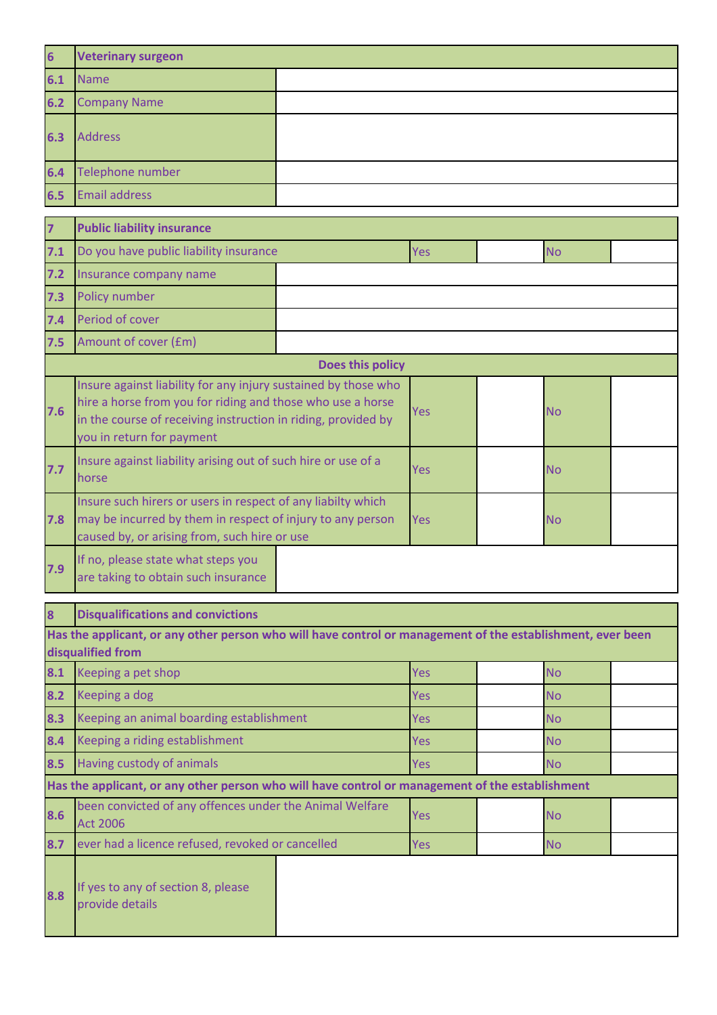| $6\phantom{a}$ | <b>Veterinary surgeon</b>                                                                                                                                                                                                  |                  |            |           |  |
|----------------|----------------------------------------------------------------------------------------------------------------------------------------------------------------------------------------------------------------------------|------------------|------------|-----------|--|
| 6.1            | <b>Name</b>                                                                                                                                                                                                                |                  |            |           |  |
| 6.2            | <b>Company Name</b>                                                                                                                                                                                                        |                  |            |           |  |
| 6.3            | <b>Address</b>                                                                                                                                                                                                             |                  |            |           |  |
| 6.4            | Telephone number                                                                                                                                                                                                           |                  |            |           |  |
| 6.5            | <b>Email address</b>                                                                                                                                                                                                       |                  |            |           |  |
| $\overline{7}$ | <b>Public liability insurance</b>                                                                                                                                                                                          |                  |            |           |  |
| 7.1            | Do you have public liability insurance                                                                                                                                                                                     |                  | Yes        | <b>No</b> |  |
| 7.2            | Insurance company name                                                                                                                                                                                                     |                  |            |           |  |
| 7.3            | Policy number                                                                                                                                                                                                              |                  |            |           |  |
| 7.4            | Period of cover                                                                                                                                                                                                            |                  |            |           |  |
| 7.5            | Amount of cover (£m)                                                                                                                                                                                                       |                  |            |           |  |
|                |                                                                                                                                                                                                                            | Does this policy |            |           |  |
| 7.6            | Insure against liability for any injury sustained by those who<br>hire a horse from you for riding and those who use a horse<br>in the course of receiving instruction in riding, provided by<br>you in return for payment | Yes              | <b>No</b>  |           |  |
| 7.7            | Insure against liability arising out of such hire or use of a<br>horse                                                                                                                                                     |                  | Yes        | <b>No</b> |  |
| 7.8            | Insure such hirers or users in respect of any liabilty which<br>may be incurred by them in respect of injury to any person<br>caused by, or arising from, such hire or use                                                 |                  | Yes        | <b>No</b> |  |
| 7.9            | If no, please state what steps you<br>are taking to obtain such insurance                                                                                                                                                  |                  |            |           |  |
| 8              | <b>Disqualifications and convictions</b>                                                                                                                                                                                   |                  |            |           |  |
|                | Has the applicant, or any other person who will have control or management of the establishment, ever been<br>disqualified from                                                                                            |                  |            |           |  |
| 8.1            | Keeping a pet shop                                                                                                                                                                                                         |                  | Yes        | <b>No</b> |  |
| 8.2            | Keeping a dog                                                                                                                                                                                                              |                  | Yes        | <b>No</b> |  |
| 8.3            | Keeping an animal boarding establishment                                                                                                                                                                                   |                  | Yes        | <b>No</b> |  |
| 8.4            | Keeping a riding establishment                                                                                                                                                                                             |                  | Yes        | <b>No</b> |  |
| 8.5            | Having custody of animals                                                                                                                                                                                                  |                  | <b>Yes</b> | <b>No</b> |  |
|                | Has the applicant, or any other person who will have control or management of the establishment                                                                                                                            |                  |            |           |  |
| 8.6            | been convicted of any offences under the Animal Welfare<br><b>Act 2006</b>                                                                                                                                                 |                  | <b>Yes</b> | <b>No</b> |  |
| 8.7            | ever had a licence refused, revoked or cancelled                                                                                                                                                                           |                  | Yes        | <b>No</b> |  |
| 8.8            | If yes to any of section 8, please<br>provide details                                                                                                                                                                      |                  |            |           |  |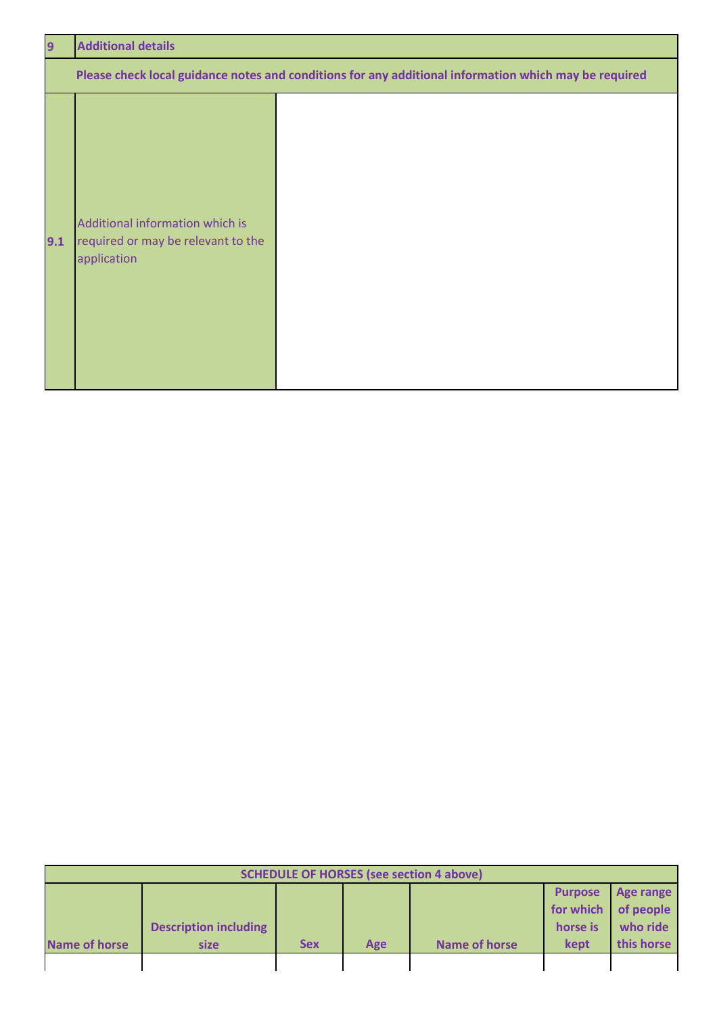| 9   | <b>Additional details</b>                                                            |                                                                                                       |  |  |  |  |  |
|-----|--------------------------------------------------------------------------------------|-------------------------------------------------------------------------------------------------------|--|--|--|--|--|
|     |                                                                                      | Please check local guidance notes and conditions for any additional information which may be required |  |  |  |  |  |
| 9.1 | Additional information which is<br>required or may be relevant to the<br>application |                                                                                                       |  |  |  |  |  |

| <b>SCHEDULE OF HORSES (see section 4 above)</b> |                              |            |     |               |                |                     |  |
|-------------------------------------------------|------------------------------|------------|-----|---------------|----------------|---------------------|--|
|                                                 |                              |            |     |               | <b>Purpose</b> | Age range           |  |
|                                                 |                              |            |     |               |                | for which of people |  |
|                                                 | <b>Description including</b> |            |     |               | horse is       | who ride            |  |
| <b>Name of horse</b>                            | size                         | <b>Sex</b> | Age | Name of horse | kept           | this horse          |  |
|                                                 |                              |            |     |               |                |                     |  |